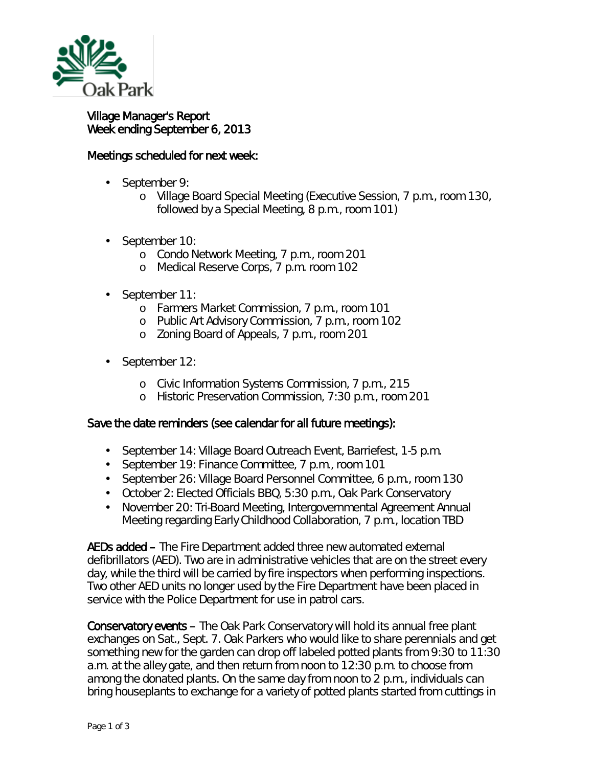

## Village Manager's Report Week ending September 6, 2013

## Meetings scheduled for next week:

- September 9:
	- o Village Board Special Meeting (Executive Session, 7 p.m., room 130, followed by a Special Meeting, 8 p.m., room 101)
- September 10: ä,
	- o Condo Network Meeting, 7 p.m., room 201
	- o Medical Reserve Corps, 7 p.m. room 102
- September 11:
	- o Farmers Market Commission, 7 p.m., room 101
	- o Public Art Advisory Commission, 7 p.m., room 102
	- o Zoning Board of Appeals, 7 p.m., room 201
- September 12: ¥,
	- o Civic Information Systems Commission, 7 p.m., 215
	- o Historic Preservation Commission, 7:30 p.m., room 201

## Save the date reminders (see calendar for all future meetings):

- $\mathbf{r}^{\mathrm{max}}$ September 14: Village Board Outreach Event, Barriefest, 1-5 p.m.
- $\mathcal{L}^{\text{max}}$ September 19: Finance Committee, 7 p.m., room 101
- $\mathcal{L}^{\text{max}}$ September 26: Village Board Personnel Committee, 6 p.m., room 130
- October 2: Elected Officials BBQ, 5:30 p.m., Oak Park Conservatory
- November 20: Tri-Board Meeting, Intergovernmental Agreement Annual  $\mathcal{L}^{\text{max}}$ Meeting regarding Early Childhood Collaboration, 7 p.m., location TBD

AEDs added – The Fire Department added three new automated external defibrillators (AED). Two are in administrative vehicles that are on the street every day, while the third will be carried by fire inspectors when performing inspections. Two other AED units no longer used by the Fire Department have been placed in service with the Police Department for use in patrol cars.

Conservatory events – The Oak Park Conservatory will hold its annual free plant exchanges on Sat., Sept. 7. Oak Parkers who would like to share perennials and get something new for the garden can drop off labeled potted plants from 9:30 to 11:30 a.m. at the alley gate, and then return from noon to 12:30 p.m. to choose from among the donated plants. On the same day from noon to 2 p.m., individuals can bring houseplants to exchange for a variety of potted plants started from cuttings in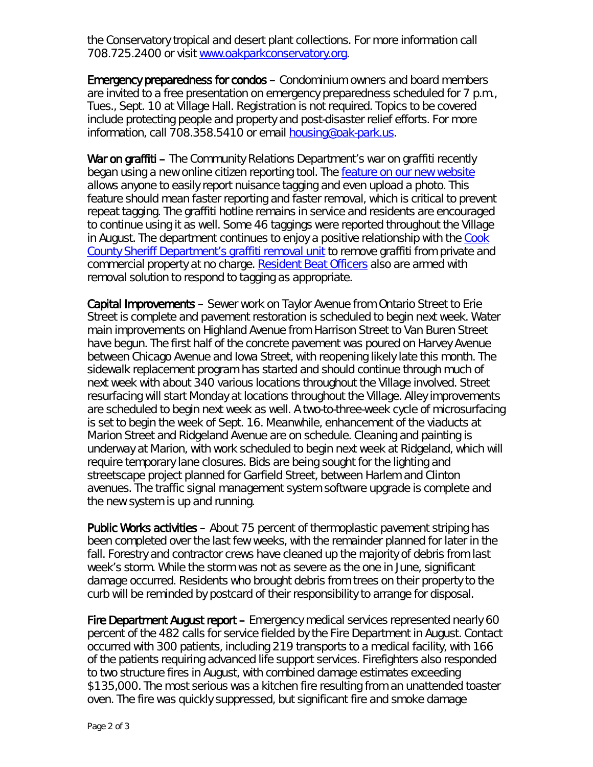the Conservatory tropical and desert plant collections. For more information call 708.725.2400 or visit [www.oakparkconservatory.org.](http://r20.rs6.net/tn.jsp?e=001_VYFusNMtqVStsH1Y61TUMJWrq8FOT9FMleCRvN8UVpaVAfXsOgovJwyeEm89PjXmt4ewoRJtkxNFn48y2zdIwlNovJoXQ82o4YtMTdlxWVs5n15KKwMGz54oDNLgnob)

Emergency preparedness for condos – Condominium owners and board members are invited to a free presentation on emergency preparedness scheduled for 7 p.m., Tues., Sept. 10 at Village Hall. Registration is not required. Topics to be covered include protecting people and property and post-disaster relief efforts. For more information, call 708.358.5410 or email **[housing@oak-park.us.](mailto:housing@oak-park.us)** 

War on graffiti – The Community Relations Department's war on graffiti recently began using a new online citizen reporting tool. The [feature on our new website](http://www.oak-park.us/village-services/tenantlandlord-relations/graffiti-reporting-removal) allows anyone to easily report nuisance tagging and even upload a photo. This feature should mean faster reporting and faster removal, which is critical to prevent repeat tagging. The graffiti hotline remains in service and residents are encouraged to continue using it as well. Some 46 taggings were reported throughout the Village in August. The department continues to enjoy a positive relationship with the Cook [County Sheriff Department's graffiti removal unit](http://www.cookcountysheriff.org/JDCP/JDCP_GraffitiRemovalUnit.html) to remove graffiti from private and commercial property at no charge. [Resident Beat Officers](http://www.oak-park.us/village-services/police-department/get-know-your-rbo) also are armed with removal solution to respond to tagging as appropriate.

Capital Improvements – Sewer work on Taylor Avenue from Ontario Street to Erie Street is complete and pavement restoration is scheduled to begin next week. Water main improvements on Highland Avenue from Harrison Street to Van Buren Street have begun. The first half of the concrete pavement was poured on Harvey Avenue between Chicago Avenue and Iowa Street, with reopening likely late this month. The sidewalk replacement program has started and should continue through much of next week with about 340 various locations throughout the Village involved. Street resurfacing will start Monday at locations throughout the Village. Alley improvements are scheduled to begin next week as well. A two-to-three-week cycle of microsurfacing is set to begin the week of Sept. 16. Meanwhile, enhancement of the viaducts at Marion Street and Ridgeland Avenue are on schedule. Cleaning and painting is underway at Marion, with work scheduled to begin next week at Ridgeland, which will require temporary lane closures. Bids are being sought for the lighting and streetscape project planned for Garfield Street, between Harlem and Clinton avenues. The traffic signal management system software upgrade is complete and the new system is up and running.

Public Works activities – About 75 percent of thermoplastic pavement striping has been completed over the last few weeks, with the remainder planned for later in the fall. Forestry and contractor crews have cleaned up the majority of debris from last week's storm. While the storm was not as severe as the one in June, significant damage occurred. Residents who brought debris from trees on their property to the curb will be reminded by postcard of their responsibility to arrange for disposal.

Fire Department August report – Emergency medical services represented nearly 60 percent of the 482 calls for service fielded by the Fire Department in August. Contact occurred with 300 patients, including 219 transports to a medical facility, with 166 of the patients requiring advanced life support services. Firefighters also responded to two structure fires in August, with combined damage estimates exceeding \$135,000. The most serious was a kitchen fire resulting from an unattended toaster oven. The fire was quickly suppressed, but significant fire and smoke damage